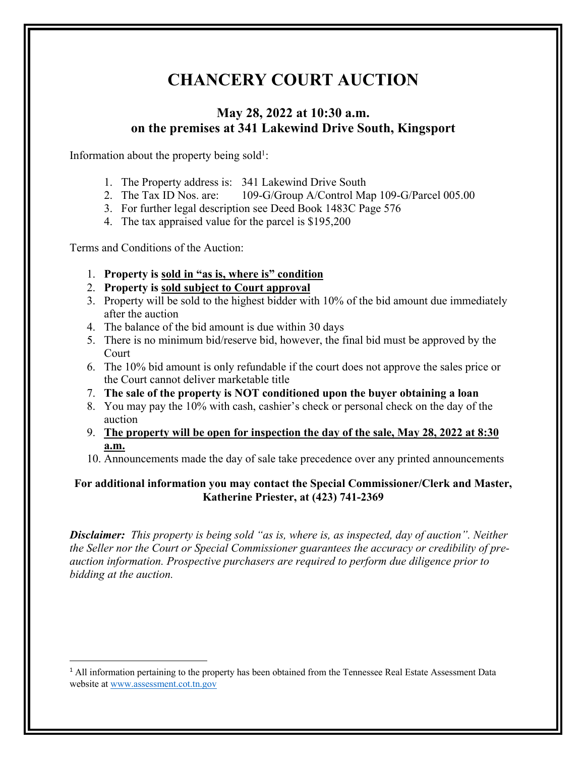## **CHANCERY COURT AUCTION**

## **May 28, 2022 at 10:30 a.m. on the premises at 341 Lakewind Drive South, Kingsport**

Information about the property being sold<sup>1</sup>:

- 1. The Property address is: 341 Lakewind Drive South
- 2. The Tax ID Nos. are: 109-G/Group A/Control Map 109-G/Parcel 005.00
- 3. For further legal description see Deed Book 1483C Page 576
- 4. The tax appraised value for the parcel is \$195,200

Terms and Conditions of the Auction:

- 1. **Property is sold in "as is, where is" condition**
- 2. **Property is sold subject to Court approval**
- 3. Property will be sold to the highest bidder with 10% of the bid amount due immediately after the auction
- 4. The balance of the bid amount is due within 30 days
- 5. There is no minimum bid/reserve bid, however, the final bid must be approved by the Court
- 6. The 10% bid amount is only refundable if the court does not approve the sales price or the Court cannot deliver marketable title
- 7. **The sale of the property is NOT conditioned upon the buyer obtaining a loan**
- 8. You may pay the 10% with cash, cashier's check or personal check on the day of the auction
- 9. **The property will be open for inspection the day of the sale, May 28, 2022 at 8:30 a.m.**
- 10. Announcements made the day of sale take precedence over any printed announcements

## **For additional information you may contact the Special Commissioner/Clerk and Master, Katherine Priester, at (423) 741-2369**

*Disclaimer: This property is being sold "as is, where is, as inspected, day of auction". Neither the Seller nor the Court or Special Commissioner guarantees the accuracy or credibility of preauction information. Prospective purchasers are required to perform due diligence prior to bidding at the auction.* 

<sup>&</sup>lt;sup>1</sup> All information pertaining to the property has been obtained from the Tennessee Real Estate Assessment Data website at www.assessment.cot.tn.gov